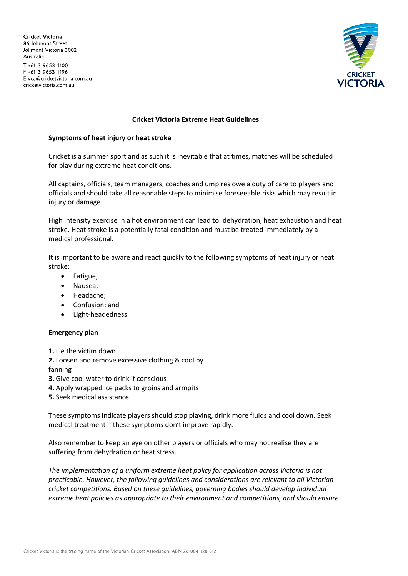Cricket Victoria 86 Jolimont Street Jolimont Victoria 3002 Australia T +61 3 9653 1100 F +61 3 9653 1196 E vca@cricketvictoria.com.au cricketvictoria.com.au



### **Cricket Victoria Extreme Heat Guidelines**

#### **Symptoms of heat injury or heat stroke**

Cricket is a summer sport and as such it is inevitable that at times, matches will be scheduled for play during extreme heat conditions.

All captains, officials, team managers, coaches and umpires owe a duty of care to players and officials and should take all reasonable steps to minimise foreseeable risks which may result in injury or damage.

High intensity exercise in a hot environment can lead to: dehydration, heat exhaustion and heat stroke. Heat stroke is a potentially fatal condition and must be treated immediately by a medical professional.

It is important to be aware and react quickly to the following symptoms of heat injury or heat stroke:

- Fatigue;
- Nausea;
- Headache;
- Confusion; and
- Light-headedness.

### **Emergency plan**

**1.** Lie the victim down

**2.** Loosen and remove excessive clothing & cool by

- fanning
- **3.** Give cool water to drink if conscious
- **4.** Apply wrapped ice packs to groins and armpits
- **5.** Seek medical assistance

These symptoms indicate players should stop playing, drink more fluids and cool down. Seek medical treatment if these symptoms don't improve rapidly.

Also remember to keep an eye on other players or officials who may not realise they are suffering from dehydration or heat stress.

*The implementation of a uniform extreme heat policy for application across Victoria is not practicable. However, the following guidelines and considerations are relevant to all Victorian cricket competitions. Based on these guidelines, governing bodies should develop individual extreme heat policies as appropriate to their environment and competitions, and should ensure*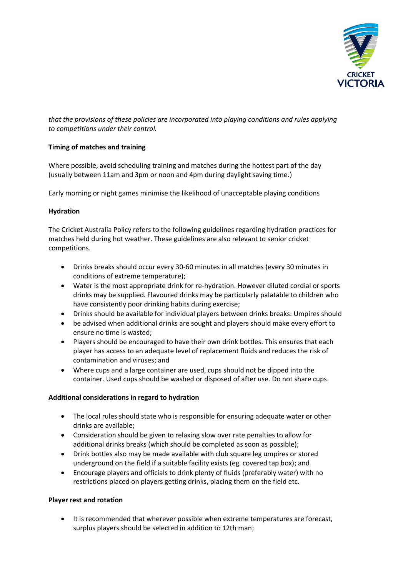

*that the provisions of these policies are incorporated into playing conditions and rules applying to competitions under their control.*

# **Timing of matches and training**

Where possible, avoid scheduling training and matches during the hottest part of the day (usually between 11am and 3pm or noon and 4pm during daylight saving time.)

Early morning or night games minimise the likelihood of unacceptable playing conditions

## **Hydration**

The Cricket Australia Policy refers to the following guidelines regarding hydration practices for matches held during hot weather. These guidelines are also relevant to senior cricket competitions.

- Drinks breaks should occur every 30-60 minutes in all matches (every 30 minutes in conditions of extreme temperature);
- Water is the most appropriate drink for re-hydration. However diluted cordial or sports drinks may be supplied. Flavoured drinks may be particularly palatable to children who have consistently poor drinking habits during exercise;
- Drinks should be available for individual players between drinks breaks. Umpires should
- be advised when additional drinks are sought and players should make every effort to ensure no time is wasted;
- Players should be encouraged to have their own drink bottles. This ensures that each player has access to an adequate level of replacement fluids and reduces the risk of contamination and viruses; and
- Where cups and a large container are used, cups should not be dipped into the container. Used cups should be washed or disposed of after use. Do not share cups.

### **Additional considerations in regard to hydration**

- The local rules should state who is responsible for ensuring adequate water or other drinks are available;
- Consideration should be given to relaxing slow over rate penalties to allow for additional drinks breaks (which should be completed as soon as possible);
- Drink bottles also may be made available with club square leg umpires or stored underground on the field if a suitable facility exists (eg. covered tap box); and
- Encourage players and officials to drink plenty of fluids (preferably water) with no restrictions placed on players getting drinks, placing them on the field etc.

### **Player rest and rotation**

 It is recommended that wherever possible when extreme temperatures are forecast, surplus players should be selected in addition to 12th man;